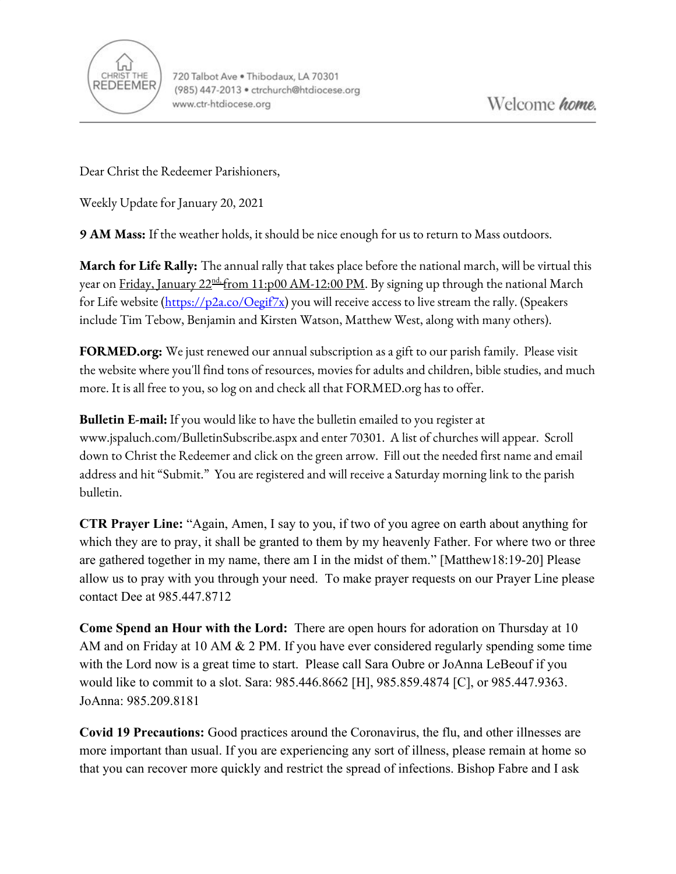

Dear Christ the Redeemer Parishioners,

Weekly Update for January 20, 2021

**9 AM Mass:** If the weather holds, it should be nice enough for us to return to Mass outdoors.

**March for Life Rally:** The annual rally that takes place before the national march, will be virtual this year on <u>Friday, January 22ªd, from 11:p00 AM-12:00 PM</u>. By signing up through the national March for Life website [\(https://p2a.co/Oegif7x\)](https://p2a.co/Oegif7x) you will receive access to live stream the rally. (Speakers include Tim Tebow, Benjamin and Kirsten Watson, Matthew West, along with many others).

**FORMED.org:** We just renewed our annual subscription as a gift to our parish family. Please visit the website where you'll find tons of resources, movies for adults and children, bible studies, and much more. It is all free to you, so log on and check all that FORMED.org has to offer.

**Bulletin E-mail:** If you would like to have the bulletin emailed to you register at [www.jspaluch.com/BulletinSubscribe.aspx](http://www.jspaluch.com/BulletinSubscribe.aspx) and enter 70301. A list of churches will appear. Scroll down to Christ the Redeemer and click on the green arrow. Fill out the needed first name and email address and hit "Submit." You are registered and will receive a Saturday morning link to the parish bulletin.

**CTR Prayer Line:** "Again, Amen, I say to you, if two of you agree on earth about anything for which they are to pray, it shall be granted to them by my heavenly Father. For where two or three are gathered together in my name, there am I in the midst of them." [Matthew18:19-20] Please allow us to pray with you through your need. To make prayer requests on our Prayer Line please contact Dee at 985.447.8712

**Come Spend an Hour with the Lord:** There are open hours for adoration on Thursday at 10 AM and on Friday at 10 AM & 2 PM. If you have ever considered regularly spending some time with the Lord now is a great time to start. Please call Sara Oubre or JoAnna LeBeouf if you would like to commit to a slot. Sara: 985.446.8662 [H], 985.859.4874 [C], or 985.447.9363. JoAnna: 985.209.8181

**Covid 19 Precautions:** Good practices around the Coronavirus, the flu, and other illnesses are more important than usual. If you are experiencing any sort of illness, please remain at home so that you can recover more quickly and restrict the spread of infections. Bishop Fabre and I ask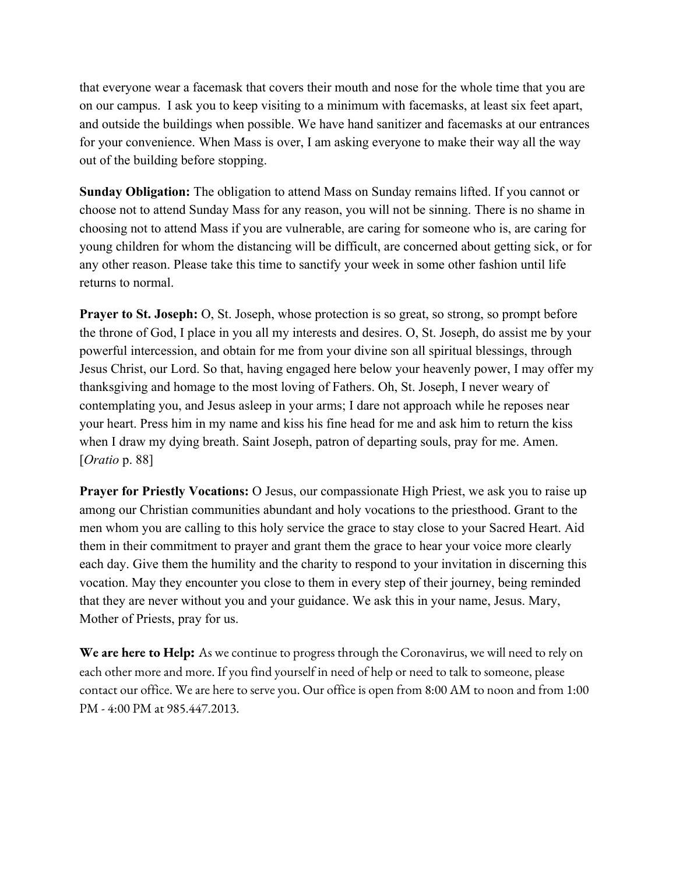that everyone wear a facemask that covers their mouth and nose for the whole time that you are on our campus. I ask you to keep visiting to a minimum with facemasks, at least six feet apart, and outside the buildings when possible. We have hand sanitizer and facemasks at our entrances for your convenience. When Mass is over, I am asking everyone to make their way all the way out of the building before stopping.

**Sunday Obligation:** The obligation to attend Mass on Sunday remains lifted. If you cannot or choose not to attend Sunday Mass for any reason, you will not be sinning. There is no shame in choosing not to attend Mass if you are vulnerable, are caring for someone who is, are caring for young children for whom the distancing will be difficult, are concerned about getting sick, or for any other reason. Please take this time to sanctify your week in some other fashion until life returns to normal.

**Prayer to St. Joseph:** O, St. Joseph, whose protection is so great, so strong, so prompt before the throne of God, I place in you all my interests and desires. O, St. Joseph, do assist me by your powerful intercession, and obtain for me from your divine son all spiritual blessings, through Jesus Christ, our Lord. So that, having engaged here below your heavenly power, I may offer my thanksgiving and homage to the most loving of Fathers. Oh, St. Joseph, I never weary of contemplating you, and Jesus asleep in your arms; I dare not approach while he reposes near your heart. Press him in my name and kiss his fine head for me and ask him to return the kiss when I draw my dying breath. Saint Joseph, patron of departing souls, pray for me. Amen. [*Oratio* p. 88]

**Prayer for Priestly Vocations:** O Jesus, our compassionate High Priest, we ask you to raise up among our Christian communities abundant and holy vocations to the priesthood. Grant to the men whom you are calling to this holy service the grace to stay close to your Sacred Heart. Aid them in their commitment to prayer and grant them the grace to hear your voice more clearly each day. Give them the humility and the charity to respond to your invitation in discerning this vocation. May they encounter you close to them in every step of their journey, being reminded that they are never without you and your guidance. We ask this in your name, Jesus. Mary, Mother of Priests, pray for us.

**We are here to Help:** As we continue to progress through the Coronavirus, we will need to rely on each other more and more. If you find yourself in need of help or need to talk to someone, please contact our office. We are here to serve you. Our office is open from 8:00 AM to noon and from 1:00 PM - 4:00 PM at 985.447.2013.